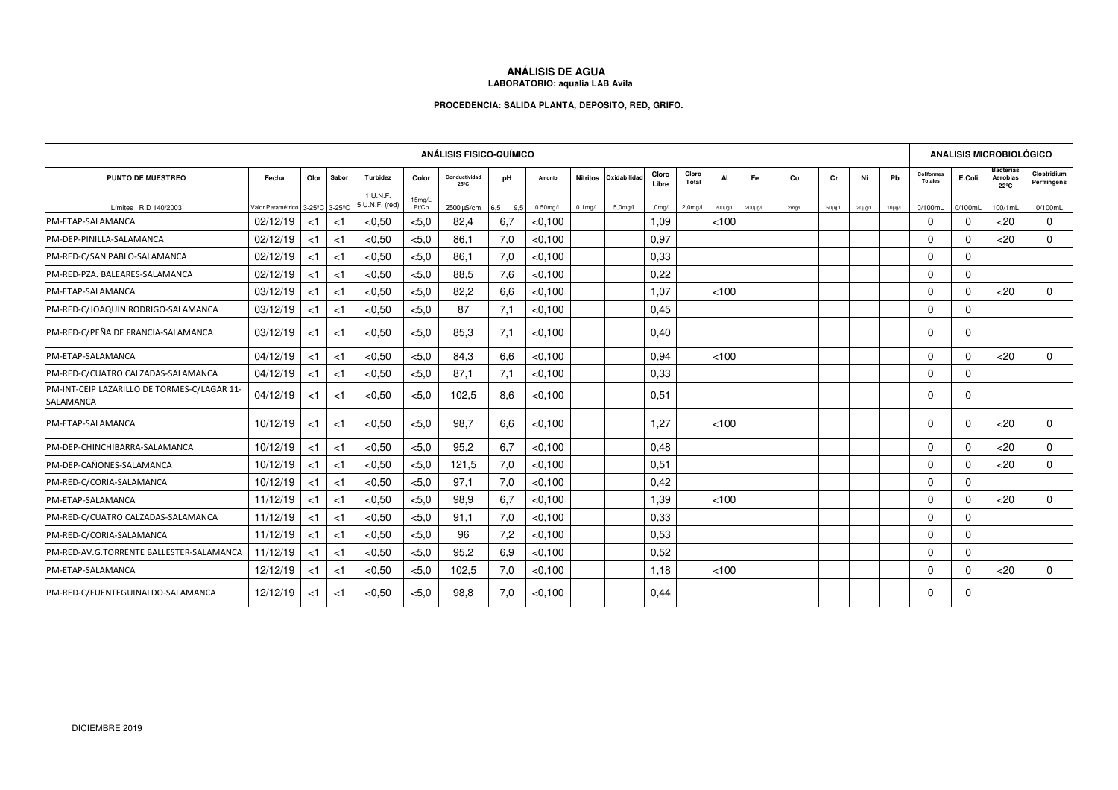## **ANÁLISIS DE AGUA LABORATORIO: aqualia LAB Avila**

## **PROCEDENCIA: SALIDA PLANTA, DEPOSITO, RED, GRIFO.**

| <b>ANÁLISIS FISICO-QUÍMICO</b>                                  |                                                           |        |       |                            |                 |                                 |            |             |                 |             |                |                |         |               | <b>ANALISIS MICROBIOLÓGICO</b> |             |             |             |                              |          |                                      |                            |
|-----------------------------------------------------------------|-----------------------------------------------------------|--------|-------|----------------------------|-----------------|---------------------------------|------------|-------------|-----------------|-------------|----------------|----------------|---------|---------------|--------------------------------|-------------|-------------|-------------|------------------------------|----------|--------------------------------------|----------------------------|
| <b>PUNTO DE MUESTREO</b>                                        | Fecha                                                     | Olor   | Sabor | Turbidez                   | Color           | Conductividad<br>$25^{\circ}$ C | pH         | Amonio      | <b>Nitritos</b> | Oxidabilida | Cloro<br>Libre | Cloro<br>Total | AI      | Fe            | Cu                             | Cr          | Ni          | Pb          | Coliformes<br><b>Totales</b> | E.Coli   | <b>Bacterias</b><br>Aerobias<br>22°C | Clostridium<br>Perfringens |
| Límites R.D 140/2003                                            | Valor Paramétrico 3-25 <sup>°</sup> C 3-25 <sup>°</sup> C |        |       | 1 U.N.F.<br>5 U.N.F. (red) | 15mg/L<br>Pt/Co | $2500 \mu\text{S/cm}$           | 6.5<br>9,5 | $0.50$ mg/L | $0.1$ mg/L      | $5.0$ mg/L  | 1,0mg/L        | $2,0$ mg/L     | 200µg/L | $200 \mu g/L$ | 2mg/L                          | $50\mu g/L$ | $20\mu g/L$ | $10\mu g/L$ | 0/100mL                      | 0/100mL  | 100/1mL                              | 0/100mL                    |
| PM-ETAP-SALAMANCA                                               | 02/12/19                                                  | <1     | <1    | < 0.50                     | < 5.0           | 82.4                            | 6,7        | < 0.100     |                 |             | 1.09           |                | < 100   |               |                                |             |             |             | $\Omega$                     | $\Omega$ | $<$ 20                               | $\Omega$                   |
| PM-DEP-PINILLA-SALAMANCA                                        | 02/12/19                                                  | $<$ 1  | $<$ 1 | < 0.50                     | < 5.0           | 86.1                            | 7,0        | < 0.100     |                 |             | 0,97           |                |         |               |                                |             |             |             | $\Omega$                     | $\Omega$ | $<$ 20                               | $\Omega$                   |
| PM-RED-C/SAN PABLO-SALAMANCA                                    | 02/12/19                                                  | $<$ 1  | $<$ 1 | < 0.50                     | < 5.0           | 86,1                            | 7,0        | < 0.100     |                 |             | 0,33           |                |         |               |                                |             |             |             | $\Omega$                     | $\Omega$ |                                      |                            |
| PM-RED-PZA. BALEARES-SALAMANCA                                  | 02/12/19                                                  | $<$ 1  | $<$ 1 | < 0.50                     | < 5.0           | 88,5                            | 7,6        | < 0.100     |                 |             | 0,22           |                |         |               |                                |             |             |             | $\Omega$                     | $\Omega$ |                                      |                            |
| PM-ETAP-SALAMANCA                                               | 03/12/19                                                  | $<$ 1  | $<$ 1 | < 0.50                     | < 5.0           | 82,2                            | 6,6        | < 0.100     |                 |             | 1.07           |                | < 100   |               |                                |             |             |             | $\Omega$                     | $\Omega$ | $<$ 20                               | $\Omega$                   |
| PM-RED-C/JOAQUIN RODRIGO-SALAMANCA                              | 03/12/19                                                  | $<$ 1  | <1    | < 0.50                     | < 5.0           | 87                              | 7,1        | < 0.100     |                 |             | 0.45           |                |         |               |                                |             |             |             | $\Omega$                     | $\Omega$ |                                      |                            |
| PM-RED-C/PEÑA DE FRANCIA-SALAMANCA                              | 03/12/19                                                  | <1     | $<$ 1 | < 0, 50                    | < 5.0           | 85,3                            | 7,1        | < 0.100     |                 |             | 0.40           |                |         |               |                                |             |             |             | $\mathbf 0$                  | $\Omega$ |                                      |                            |
| PM-ETAP-SALAMANCA                                               | 04/12/19                                                  | $<$ 1  | $<$ 1 | < 0.50                     | < 5.0           | 84,3                            | 6,6        | < 0.100     |                 |             | 0.94           |                | 100     |               |                                |             |             |             | $\Omega$                     | $\Omega$ | $20$                                 | $\Omega$                   |
| PM-RED-C/CUATRO CALZADAS-SALAMANCA                              | 04/12/19                                                  | $<$ 1  | $<$ 1 | < 0.50                     | < 5.0           | 87.1                            | 7,1        | < 0.100     |                 |             | 0.33           |                |         |               |                                |             |             |             | $\Omega$                     | $\Omega$ |                                      |                            |
| PM-INT-CEIP LAZARILLO DE TORMES-C/LAGAR 11-<br><b>SALAMANCA</b> | 04/12/19                                                  | ${<}1$ | < 1   | < 0.50                     | < 5.0           | 102,5                           | 8,6        | < 0,100     |                 |             | 0,51           |                |         |               |                                |             |             |             | $\mathbf 0$                  | $\Omega$ |                                      |                            |
| PM-ETAP-SALAMANCA                                               | 10/12/19                                                  | $<$ 1  | < 1   | < 0.50                     | < 5.0           | 98,7                            | 6,6        | < 0.100     |                 |             | 1.27           |                | < 100   |               |                                |             |             |             | $\mathbf 0$                  | $\Omega$ | $<$ 20                               | $\Omega$                   |
| PM-DEP-CHINCHIBARRA-SALAMANCA                                   | 10/12/19                                                  | $<$ 1  | $<$ 1 | < 0.50                     | < 5.0           | 95,2                            | 6,7        | < 0.100     |                 |             | 0,48           |                |         |               |                                |             |             |             | $\Omega$                     | $\Omega$ | $<$ 20                               | $\Omega$                   |
| PM-DEP-CAÑONES-SALAMANCA                                        | 10/12/19                                                  | $<$ 1  | <1    | < 0.50                     | < 5.0           | 121.5                           | 7,0        | < 0.100     |                 |             | 0.51           |                |         |               |                                |             |             |             | $\Omega$                     | $\Omega$ | <20                                  | $\Omega$                   |
| PM-RED-C/CORIA-SALAMANCA                                        | 10/12/19                                                  | $<$ 1  | $<$ 1 | < 0.50                     | < 5.0           | 97,1                            | 7,0        | < 0.100     |                 |             | 0,42           |                |         |               |                                |             |             |             | $\mathbf 0$                  | $\Omega$ |                                      |                            |
| PM-ETAP-SALAMANCA                                               | 11/12/19                                                  | $<$ 1  | $<$ 1 | < 0.50                     | < 5.0           | 98,9                            | 6.7        | < 0.100     |                 |             | 1,39           |                | < 100   |               |                                |             |             |             | $\mathbf 0$                  | $\Omega$ | $<$ 20                               | 0                          |
| PM-RED-C/CUATRO CALZADAS-SALAMANCA                              | 11/12/19                                                  | $<$ 1  | $<$ 1 | < 0.50                     | < 5.0           | 91.1                            | 7,0        | < 0.100     |                 |             | 0.33           |                |         |               |                                |             |             |             | $\Omega$                     | $\Omega$ |                                      |                            |
| PM-RED-C/CORIA-SALAMANCA                                        | 11/12/19                                                  | $<$ 1  | $<$ 1 | < 0.50                     | < 5.0           | 96                              | 7,2        | < 0.100     |                 |             | 0.53           |                |         |               |                                |             |             |             | $\Omega$                     | $\Omega$ |                                      |                            |
| PM-RED-AV.G.TORRENTE BALLESTER-SALAMANCA                        | 11/12/19                                                  | $<$ 1  | <1    | < 0.50                     | < 5.0           | 95,2                            | 6,9        | < 0.100     |                 |             | 0,52           |                |         |               |                                |             |             |             | $\Omega$                     | $\Omega$ |                                      |                            |
| PM-ETAP-SALAMANCA                                               | 12/12/19                                                  | $<$ 1  | <1    | < 0.50                     | < 5.0           | 102,5                           | 7,0        | < 0.100     |                 |             | 1.18           |                | < 100   |               |                                |             |             |             | $\Omega$                     | $\Omega$ | $<$ 20                               | $\Omega$                   |
| PM-RED-C/FUENTEGUINALDO-SALAMANCA                               | 12/12/19                                                  | ≺1     | < 1   | < 0.50                     | < 5.0           | 98.8                            | 7,0        | < 0.100     |                 |             | 0.44           |                |         |               |                                |             |             |             | 0                            | $\Omega$ |                                      |                            |